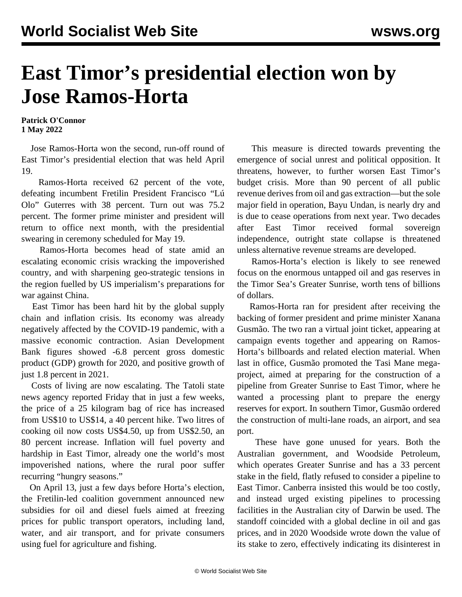## **East Timor's presidential election won by Jose Ramos-Horta**

**Patrick O'Connor 1 May 2022**

 Jose Ramos-Horta won the second, run-off round of East Timor's presidential election that was held April 19.

 Ramos-Horta received 62 percent of the vote, defeating incumbent Fretilin President Francisco "Lú Olo" Guterres with 38 percent. Turn out was 75.2 percent. The former prime minister and president will return to office next month, with the presidential swearing in ceremony scheduled for May 19.

 Ramos-Horta becomes head of state amid an escalating economic crisis wracking the impoverished country, and with sharpening geo-strategic tensions in the region fuelled by US imperialism's preparations for war against China.

 East Timor has been hard hit by the global supply chain and inflation crisis. Its economy was already negatively affected by the COVID-19 pandemic, with a massive economic contraction. Asian Development Bank figures showed -6.8 percent gross domestic product (GDP) growth for 2020, and positive growth of just 1.8 percent in 2021.

 Costs of living are now escalating. The Tatoli state news agency reported Friday that in just a few weeks, the price of a 25 kilogram bag of rice has increased from US\$10 to US\$14, a 40 percent hike. Two litres of cooking oil now costs US\$4.50, up from US\$2.50, an 80 percent increase. Inflation will fuel poverty and hardship in East Timor, already one the world's most impoverished nations, where the rural poor suffer recurring "hungry seasons."

 On April 13, just a few days before Horta's election, the Fretilin-led coalition government announced new subsidies for oil and diesel fuels aimed at freezing prices for public transport operators, including land, water, and air transport, and for private consumers using fuel for agriculture and fishing.

 This measure is directed towards preventing the emergence of social unrest and political opposition. It threatens, however, to further worsen East Timor's budget crisis. More than 90 percent of all public revenue derives from oil and gas extraction—but the sole major field in operation, Bayu Undan, is nearly dry and is due to cease operations from next year. Two decades after East Timor received formal sovereign independence, outright state collapse is threatened unless alternative revenue streams are developed.

 Ramos-Horta's election is likely to see renewed focus on the enormous untapped oil and gas reserves in the Timor Sea's Greater Sunrise, worth tens of billions of dollars.

 Ramos-Horta ran for president after receiving the backing of former president and prime minister Xanana Gusmão. The two ran a virtual joint ticket, appearing at campaign events together and appearing on Ramos-Horta's billboards and related election material. When last in office, Gusmão promoted the Tasi Mane megaproject, aimed at preparing for the construction of a pipeline from Greater Sunrise to East Timor, where he wanted a processing plant to prepare the energy reserves for export. In southern Timor, Gusmão ordered the construction of multi-lane roads, an airport, and sea port.

 These have gone unused for years. Both the Australian government, and Woodside Petroleum, which operates Greater Sunrise and has a 33 percent stake in the field, flatly refused to consider a pipeline to East Timor. Canberra insisted this would be too costly, and instead urged existing pipelines to processing facilities in the Australian city of Darwin be used. The standoff coincided with a global decline in oil and gas prices, and in 2020 Woodside wrote down the value of its stake to zero, effectively indicating its disinterest in